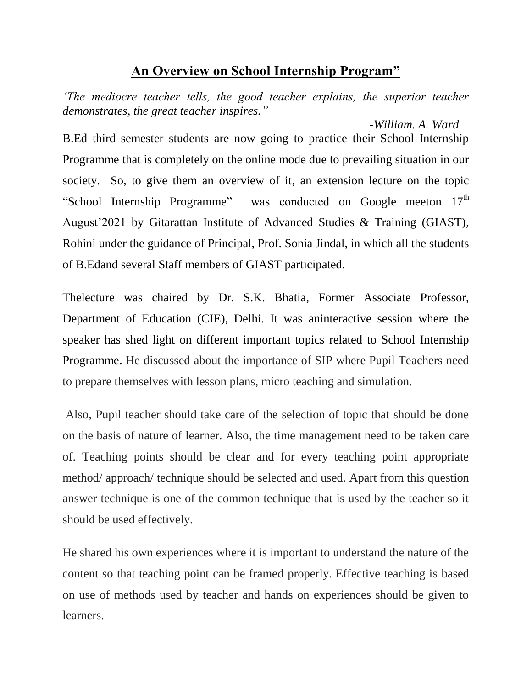## **An Overview on School Internship Program"**

*The mediocre teacher tells, the good teacher explains, the superior teacher demonstrates, the great teacher inspires."*

 *-William. A. Ward*  B.Ed third semester students are now going to practice their School Internship Programme that is completely on the online mode due to prevailing situation in our society. So, to give them an overview of it, an extension lecture on the topic "School Internship Programme" was conducted on Google meeton 17<sup>th</sup> August'2021 by Gitarattan Institute of Advanced Studies & Training (GIAST), Rohini under the guidance of Principal, Prof. Sonia Jindal, in which all the students of B.Edand several Staff members of GIAST participated.

Thelecture was chaired by Dr. S.K. Bhatia, Former Associate Professor, Department of Education (CIE), Delhi. It was aninteractive session where the speaker has shed light on different important topics related to School Internship Programme. He discussed about the importance of SIP where Pupil Teachers need to prepare themselves with lesson plans, micro teaching and simulation.

Also, Pupil teacher should take care of the selection of topic that should be done on the basis of nature of learner. Also, the time management need to be taken care of. Teaching points should be clear and for every teaching point appropriate method/ approach/ technique should be selected and used. Apart from this question answer technique is one of the common technique that is used by the teacher so it should be used effectively.

He shared his own experiences where it is important to understand the nature of the content so that teaching point can be framed properly. Effective teaching is based on use of methods used by teacher and hands on experiences should be given to learners.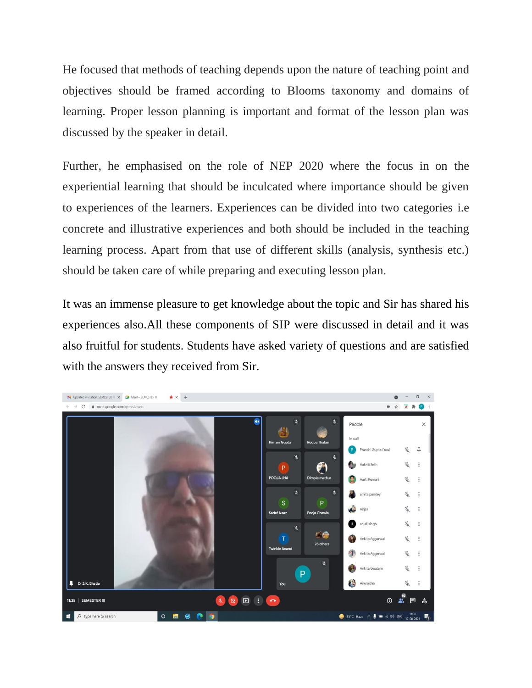He focused that methods of teaching depends upon the nature of teaching point and objectives should be framed according to Blooms taxonomy and domains of learning. Proper lesson planning is important and format of the lesson plan was discussed by the speaker in detail.

Further, he emphasised on the role of NEP 2020 where the focus in on the experiential learning that should be inculcated where importance should be given to experiences of the learners. Experiences can be divided into two categories i.e concrete and illustrative experiences and both should be included in the teaching learning process. Apart from that use of different skills (analysis, synthesis etc.) should be taken care of while preparing and executing lesson plan.

It was an immense pleasure to get knowledge about the topic and Sir has shared his experiences also.All these components of SIP were discussed in detail and it was also fruitful for students. Students have asked variety of questions and are satisfied with the answers they received from Sir.

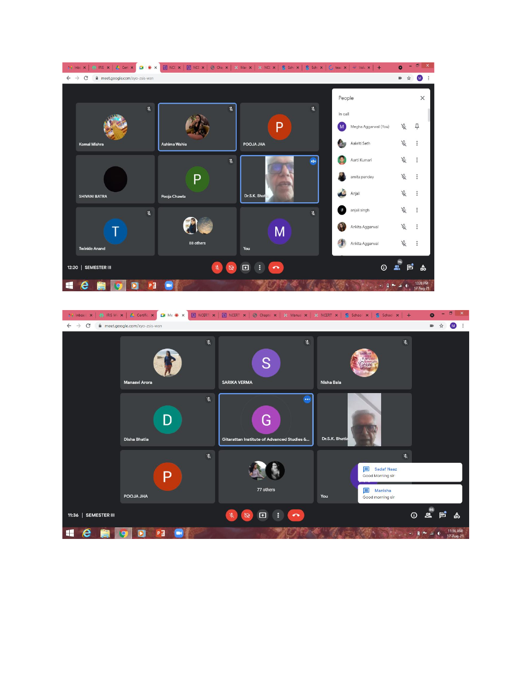